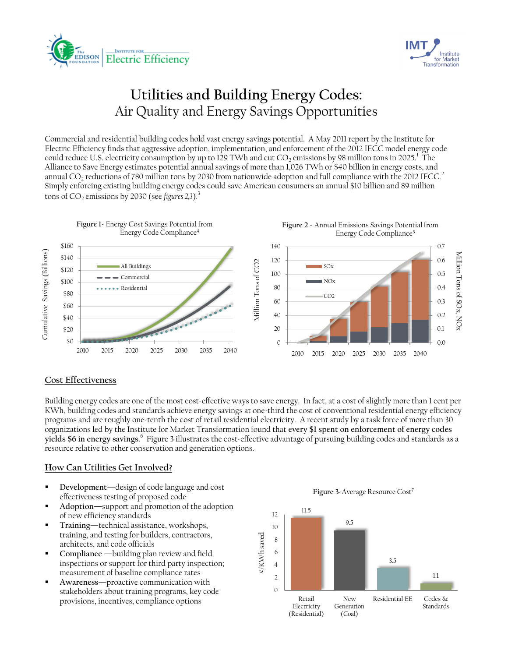



# **Utilities and Building Energy Codes:** Air Quality and Energy Savings Opportunities

Commercial and residential building codes hold vast energy savings potential. A May 2011 report by the Institute for Electric Efficiency finds that aggressive adoption, implementation, and enforcement of the 2012 IECC model energy code could reduce U.S. electricity consumption by up to 129 TWh and cut CO<sub>2</sub> emissions by 98 million tons in 2025.<sup>1</sup> The Alliance to Save Energy estimates potential annual savings of more than 1,026 TWh or \$40 billion in energy costs, and annual CO<sub>2</sub> reductions of 780 million tons by 2030 from nationwide adoption and full compliance with the 2012 IECC.<sup>2</sup> Simply enforcing existing building energy codes could save American consumers an annual \$10 billion and 89 million tons of  $CO_2$  emissions by 2030 (see *figures* 2,3).<sup>3</sup>



### **Cost Effectiveness**

Building energy codes are one of the most cost-effective ways to save energy. In fact, at a cost of slightly more than 1 cent per KWh, building codes and standards achieve energy savings at one-third the cost of conventional residential energy efficiency programs and are roughly one-tenth the cost of retail residential electricity. A recent study by a task force of more than 30 organizations led by the Institute for Market Transformation found that **every \$1 spent on enforcement of energy codes yields \$6 in energy savings.**<sup>6</sup> Figure 3 illustrates the cost-effective advantage of pursuing building codes and standards as a resource relative to other conservation and generation options.

#### **How Can Utilities Get Involved?**

- **Development**—design of code language and cost effectiveness testing of proposed code
- **Adoption**—support and promotion of the adoption of new efficiency standards
- **Training**—technical assistance, workshops, training, and testing for builders, contractors, architects, and code officials
- **Compliance** —building plan review and field inspections or support for third party inspection; measurement of baseline compliance rates
- **Awareness**—proactive communication with stakeholders about training programs, key code provisions, incentives, compliance options

Figure 3-Average Resource Cost<sup>7</sup>